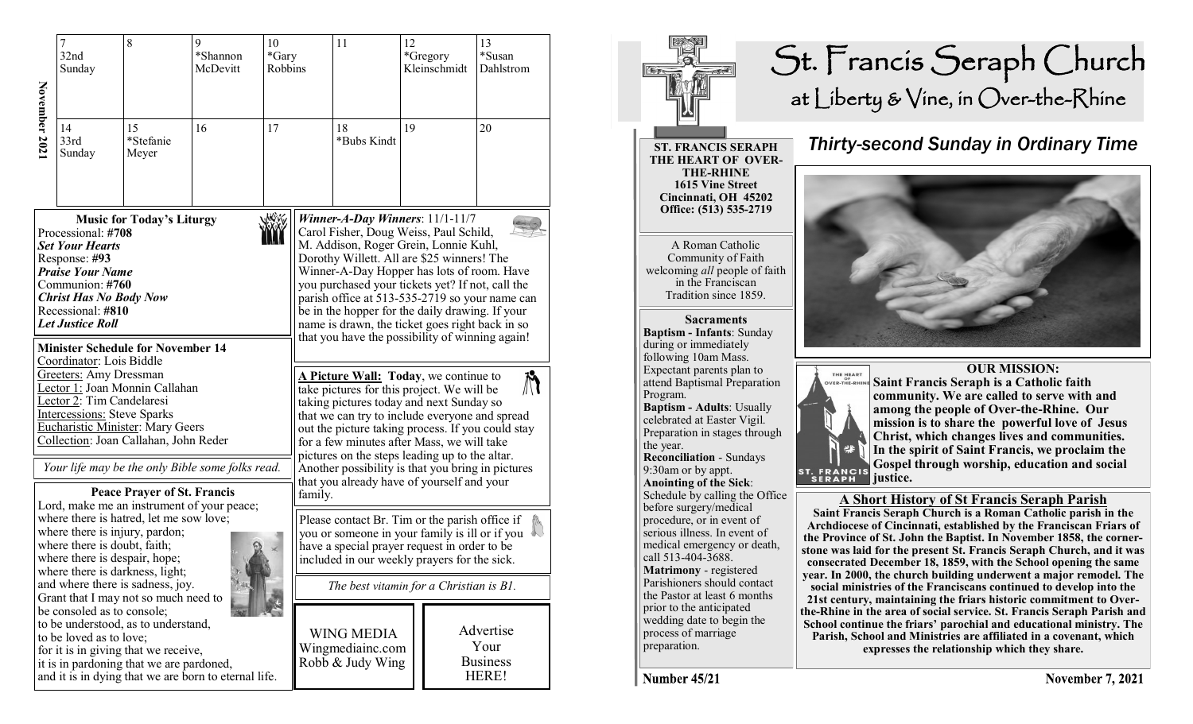|              | $\overline{7}$<br>32nd<br>Sunday                                                                                                                                                                                                                                                                      | 8                                                                                                                                                                                                                                                                                | 9<br>*Shannon<br>McDevitt | 10<br>*Gary<br>Robbins |                                                                                                                                                                                                                                                                                                                                                                                                                                                                                 | 11                                                                                                                                                                                                                                                                                                                                                                                                                                                                             | 12 | *Gregory<br>Kleinschmidt | 13<br>*Susan<br>Dahlstrom                     |  |
|--------------|-------------------------------------------------------------------------------------------------------------------------------------------------------------------------------------------------------------------------------------------------------------------------------------------------------|----------------------------------------------------------------------------------------------------------------------------------------------------------------------------------------------------------------------------------------------------------------------------------|---------------------------|------------------------|---------------------------------------------------------------------------------------------------------------------------------------------------------------------------------------------------------------------------------------------------------------------------------------------------------------------------------------------------------------------------------------------------------------------------------------------------------------------------------|--------------------------------------------------------------------------------------------------------------------------------------------------------------------------------------------------------------------------------------------------------------------------------------------------------------------------------------------------------------------------------------------------------------------------------------------------------------------------------|----|--------------------------|-----------------------------------------------|--|
| November 202 | 14<br>33rd<br>Sunday                                                                                                                                                                                                                                                                                  | 15<br>*Stefanie<br>Meyer                                                                                                                                                                                                                                                         | 16                        | 17                     |                                                                                                                                                                                                                                                                                                                                                                                                                                                                                 | 18<br>*Bubs Kindt                                                                                                                                                                                                                                                                                                                                                                                                                                                              |    |                          | 20                                            |  |
|              | Processional: #708<br><b>Set Your Hearts</b><br>Response: #93<br><b>Praise Your Name</b><br>Communion: #760<br><b>Christ Has No Body Now</b><br>Recessional: #810<br><b>Let Justice Roll</b><br><b>Minister Schedule for November 14</b><br>Coordinator: Lois Biddle                                  | <b>Music for Today's Liturgy</b>                                                                                                                                                                                                                                                 |                           |                        | Winner-A-Day Winners: $11/1-11/7$<br>Carol Fisher, Doug Weiss, Paul Schild,<br>M. Addison, Roger Grein, Lonnie Kuhl,<br>Dorothy Willett. All are \$25 winners! The<br>Winner-A-Day Hopper has lots of room. Have<br>you purchased your tickets yet? If not, call the<br>parish office at 513-535-2719 so your name can<br>be in the hopper for the daily drawing. If your<br>name is drawn, the ticket goes right back in so<br>that you have the possibility of winning again! |                                                                                                                                                                                                                                                                                                                                                                                                                                                                                |    |                          |                                               |  |
|              | <b>Greeters:</b> Amy Dressman<br>Lector 1: Joan Monnin Callahan<br>Lector 2: Tim Candelaresi<br><b>Intercessions: Steve Sparks</b><br><b>Eucharistic Minister: Mary Geers</b><br>Collection: Joan Callahan, John Reder<br>Your life may be the only Bible some folks read.                            |                                                                                                                                                                                                                                                                                  |                           |                        |                                                                                                                                                                                                                                                                                                                                                                                                                                                                                 | <b>A Picture Wall:</b> Today, we continue to<br>$\boldsymbol{\mathcal{N}}$<br>take pictures for this project. We will be<br>taking pictures today and next Sunday so<br>that we can try to include everyone and spread<br>out the picture taking process. If you could stay<br>for a few minutes after Mass, we will take<br>pictures on the steps leading up to the altar.<br>Another possibility is that you bring in pictures<br>that you already have of yourself and your |    |                          |                                               |  |
|              | <b>Peace Prayer of St. Francis</b><br>Lord, make me an instrument of your peace;<br>where there is hatred, let me sow love;<br>where there is injury, pardon;<br>where there is doubt, faith;<br>where there is despair, hope;<br>where there is darkness, light;<br>and where there is sadness, joy. |                                                                                                                                                                                                                                                                                  |                           |                        | family.<br>Please contact Br. Tim or the parish office if<br>you or someone in your family is ill or if you<br>have a special prayer request in order to be<br>included in our weekly prayers for the sick.<br>The best vitamin for a Christian is B1.                                                                                                                                                                                                                          |                                                                                                                                                                                                                                                                                                                                                                                                                                                                                |    |                          |                                               |  |
|              |                                                                                                                                                                                                                                                                                                       | Grant that I may not so much need to<br>be consoled as to console;<br>to be understood, as to understand,<br>to be loved as to love;<br>for it is in giving that we receive,<br>it is in pardoning that we are pardoned,<br>and it is in dying that we are born to eternal life. |                           |                        |                                                                                                                                                                                                                                                                                                                                                                                                                                                                                 | <b>WING MEDIA</b><br>Wingmediainc.com<br>Robb & Judy Wing                                                                                                                                                                                                                                                                                                                                                                                                                      |    |                          | Advertise<br>Your<br><b>Business</b><br>HERE! |  |